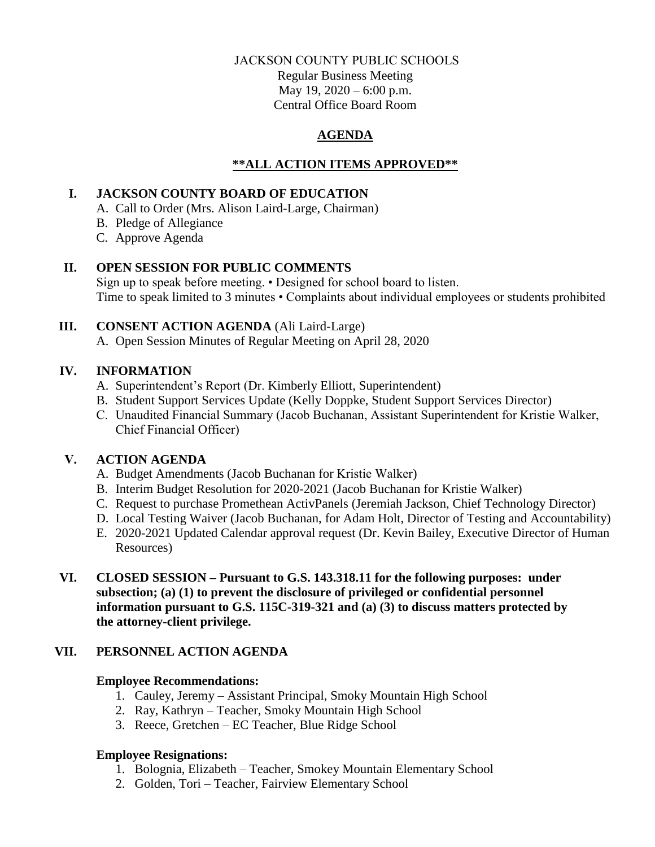#### JACKSON COUNTY PUBLIC SCHOOLS

Regular Business Meeting May 19, 2020 – 6:00 p.m. Central Office Board Room

### **AGENDA**

### **\*\*ALL ACTION ITEMS APPROVED\*\***

### **I. JACKSON COUNTY BOARD OF EDUCATION**

- A. Call to Order (Mrs. Alison Laird-Large, Chairman)
- B. Pledge of Allegiance
- C. Approve Agenda

### **II. OPEN SESSION FOR PUBLIC COMMENTS**

Sign up to speak before meeting. • Designed for school board to listen. Time to speak limited to 3 minutes • Complaints about individual employees or students prohibited

# **III. CONSENT ACTION AGENDA** (Ali Laird-Large)

A. Open Session Minutes of Regular Meeting on April 28, 2020

# **IV. INFORMATION**

- A. Superintendent's Report (Dr. Kimberly Elliott, Superintendent)
- B. Student Support Services Update (Kelly Doppke, Student Support Services Director)
- C. Unaudited Financial Summary (Jacob Buchanan, Assistant Superintendent for Kristie Walker, Chief Financial Officer)

# **V. ACTION AGENDA**

- A. Budget Amendments (Jacob Buchanan for Kristie Walker)
- B. Interim Budget Resolution for 2020-2021 (Jacob Buchanan for Kristie Walker)
- C. Request to purchase Promethean ActivPanels (Jeremiah Jackson, Chief Technology Director)
- D. Local Testing Waiver (Jacob Buchanan, for Adam Holt, Director of Testing and Accountability)
- E. 2020-2021 Updated Calendar approval request (Dr. Kevin Bailey, Executive Director of Human Resources)
- **VI. CLOSED SESSION – Pursuant to G.S. 143.318.11 for the following purposes: under subsection; (a) (1) to prevent the disclosure of privileged or confidential personnel information pursuant to G.S. 115C-319-321 and (a) (3) to discuss matters protected by the attorney-client privilege.**

# **VII. PERSONNEL ACTION AGENDA**

### **Employee Recommendations:**

- 1. Cauley, Jeremy Assistant Principal, Smoky Mountain High School
- 2. Ray, Kathryn Teacher, Smoky Mountain High School
- 3. Reece, Gretchen EC Teacher, Blue Ridge School

# **Employee Resignations:**

- 1. Bolognia, Elizabeth Teacher, Smokey Mountain Elementary School
- 2. Golden, Tori Teacher, Fairview Elementary School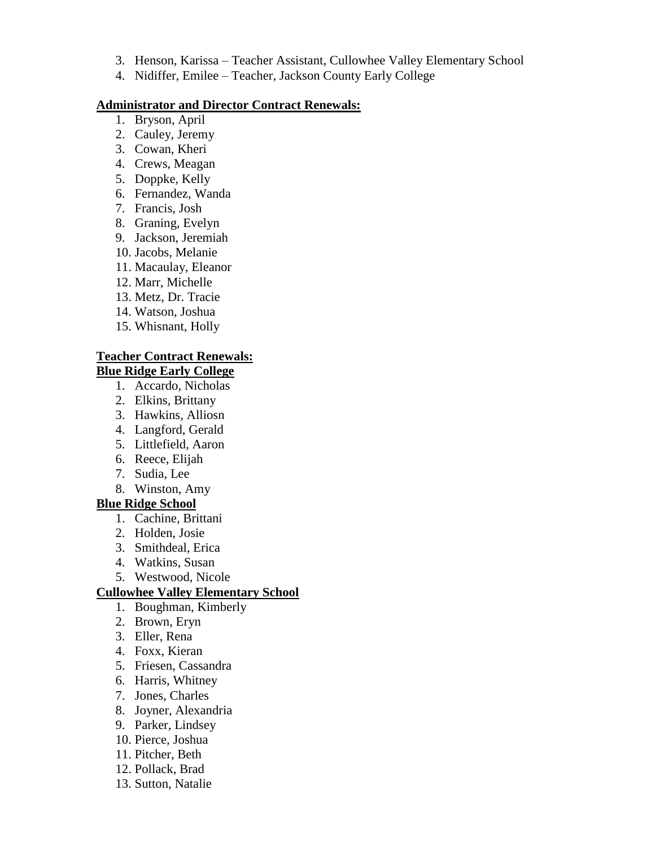- 3. Henson, Karissa Teacher Assistant, Cullowhee Valley Elementary School
- 4. Nidiffer, Emilee Teacher, Jackson County Early College

#### **Administrator and Director Contract Renewals:**

- 1. Bryson, April
- 2. Cauley, Jeremy
- 3. Cowan, Kheri
- 4. Crews, Meagan
- 5. Doppke, Kelly
- 6. Fernandez, Wanda
- 7. Francis, Josh
- 8. Graning, Evelyn
- 9. Jackson, Jeremiah
- 10. Jacobs, Melanie
- 11. Macaulay, Eleanor
- 12. Marr, Michelle
- 13. Metz, Dr. Tracie
- 14. Watson, Joshua
- 15. Whisnant, Holly

#### **Teacher Contract Renewals: Blue Ridge Early College**

- 1. Accardo, Nicholas
- 2. Elkins, Brittany
- 3. Hawkins, Alliosn
- 4. Langford, Gerald
- 5. Littlefield, Aaron
- 6. Reece, Elijah
- 7. Sudia, Lee
- 8. Winston, Amy

#### **Blue Ridge School**

- 1. Cachine, Brittani
- 2. Holden, Josie
- 3. Smithdeal, Erica
- 4. Watkins, Susan
- 5. Westwood, Nicole

#### **Cullowhee Valley Elementary School**

- 1. Boughman, Kimberly
- 2. Brown, Eryn
- 3. Eller, Rena
- 4. Foxx, Kieran
- 5. Friesen, Cassandra
- 6. Harris, Whitney
- 7. Jones, Charles
- 8. Joyner, Alexandria
- 9. Parker, Lindsey
- 10. Pierce, Joshua
- 11. Pitcher, Beth
- 12. Pollack, Brad
- 13. Sutton, Natalie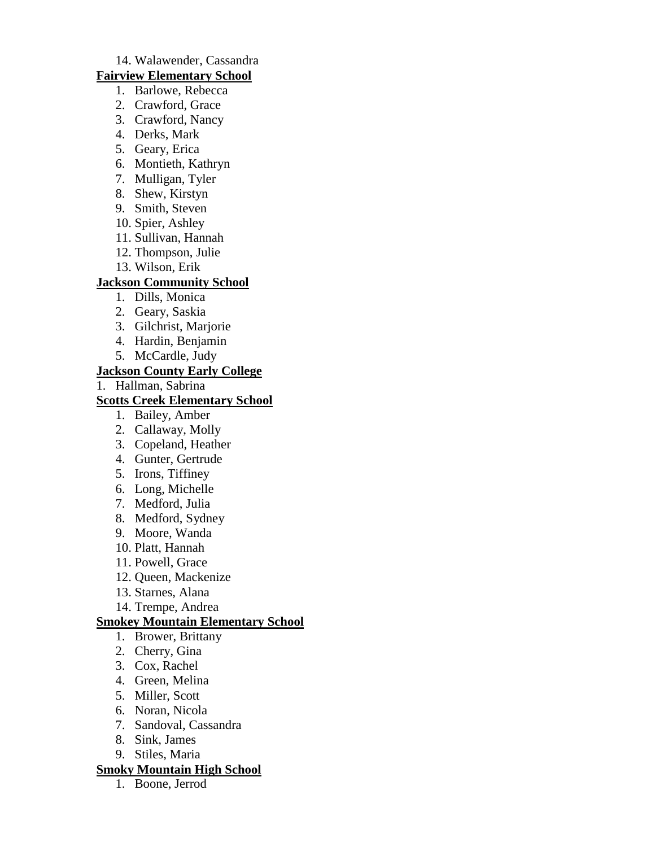#### 14. Walawender, Cassandra

#### **Fairview Elementary School**

- 1. Barlowe, Rebecca
- 2. Crawford, Grace
- 3. Crawford, Nancy
- 4. Derks, Mark
- 5. Geary, Erica
- 6. Montieth, Kathryn
- 7. Mulligan, Tyler
- 8. Shew, Kirstyn
- 9. Smith, Steven
- 10. Spier, Ashley
- 11. Sullivan, Hannah
- 12. Thompson, Julie
- 13. Wilson, Erik

#### **Jackson Community School**

- 1. Dills, Monica
- 2. Geary, Saskia
- 3. Gilchrist, Marjorie
- 4. Hardin, Benjamin
- 5. McCardle, Judy

#### **Jackson County Early College**

1. Hallman, Sabrina

#### **Scotts Creek Elementary School**

- 1. Bailey, Amber
- 2. Callaway, Molly
- 3. Copeland, Heather
- 4. Gunter, Gertrude
- 5. Irons, Tiffiney
- 6. Long, Michelle
- 7. Medford, Julia
- 8. Medford, Sydney
- 9. Moore, Wanda
- 10. Platt, Hannah
- 11. Powell, Grace
- 12. Queen, Mackenize
- 13. Starnes, Alana
- 14. Trempe, Andrea

#### **Smokey Mountain Elementary School**

- 1. Brower, Brittany
- 2. Cherry, Gina
- 3. Cox, Rachel
- 4. Green, Melina
- 5. Miller, Scott
- 6. Noran, Nicola
- 7. Sandoval, Cassandra
- 8. Sink, James
- 9. Stiles, Maria

#### **Smoky Mountain High School**

1. Boone, Jerrod